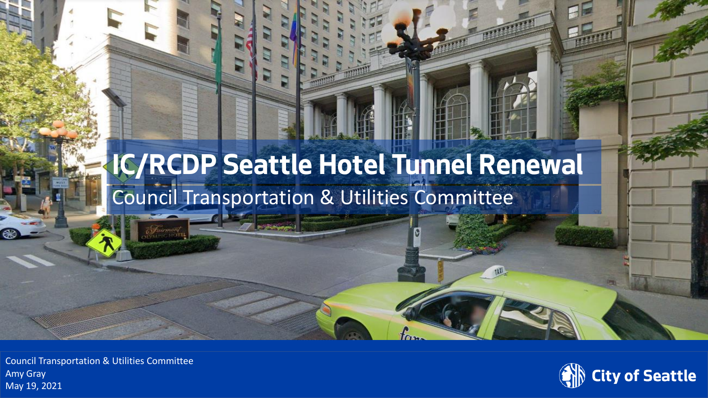### **IC/RCDP Seattle Hotel Tunnel Renewal** Council Transportation & Utilities Committee

Department of Transportation Amy Gray Council Transportation & Utilities Committee May 19, 2021

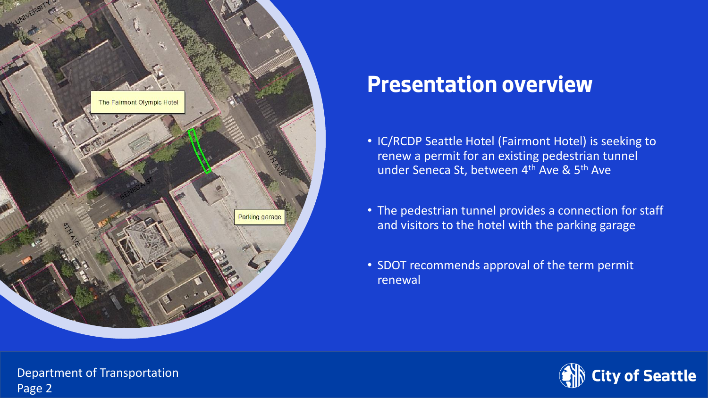

### **Presentation overview**

- IC/RCDP Seattle Hotel (Fairmont Hotel) is seeking to renew a permit for an existing pedestrian tunnel under Seneca St, between 4<sup>th</sup> Ave & 5<sup>th</sup> Ave
- The pedestrian tunnel provides a connection for staff and visitors to the hotel with the parking garage
- SDOT recommends approval of the term permit renewal



Department of Transportation Department of Transportation Page 2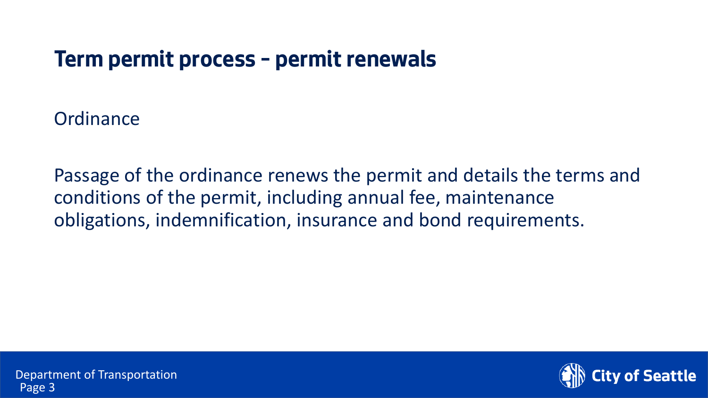#### **Term permit process – permit renewals**

**Ordinance** 

Passage of the ordinance renews the permit and details the terms and conditions of the permit, including annual fee, maintenance obligations, indemnification, insurance and bond requirements.

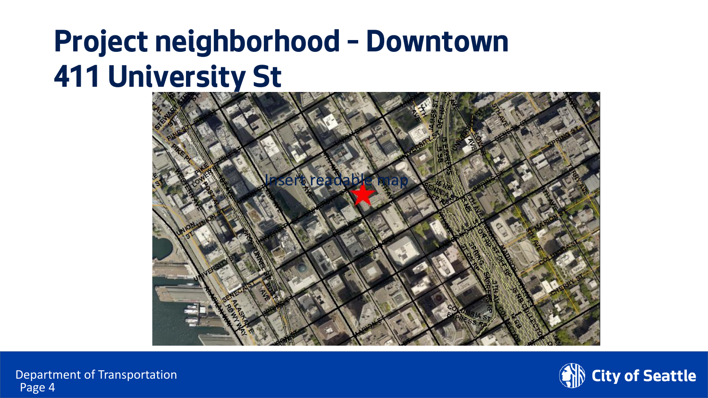# **Project neighborhood – Downtown 411 University St**





Department of Transportation Page 4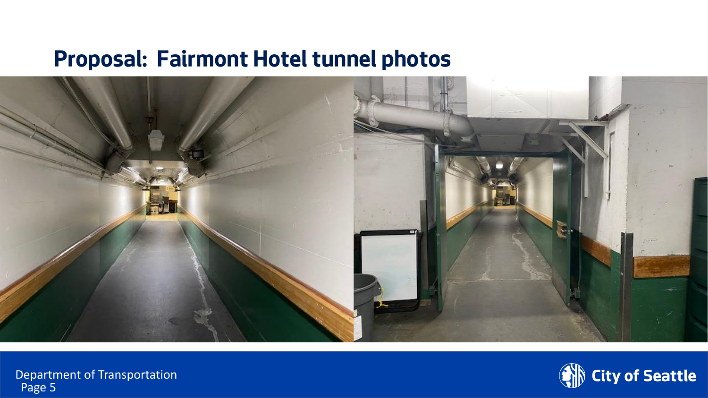#### **Proposal: Fairmont Hotel tunnel photos**



Department of Transportation Page 5

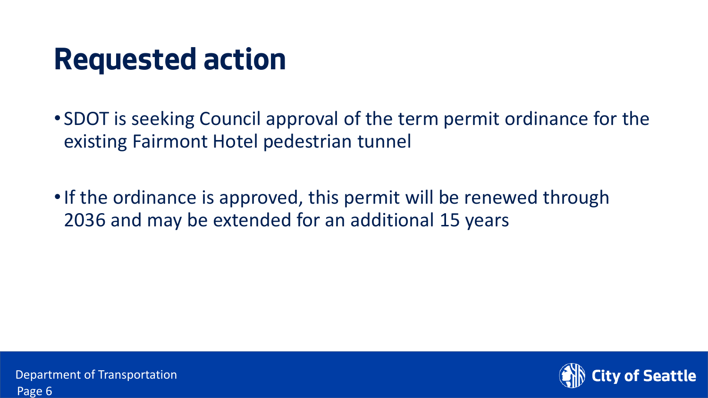## **Requested action**

- SDOT is seeking Council approval of the term permit ordinance for the existing Fairmont Hotel pedestrian tunnel
- If the ordinance is approved, this permit will be renewed through 2036 and may be extended for an additional 15 years